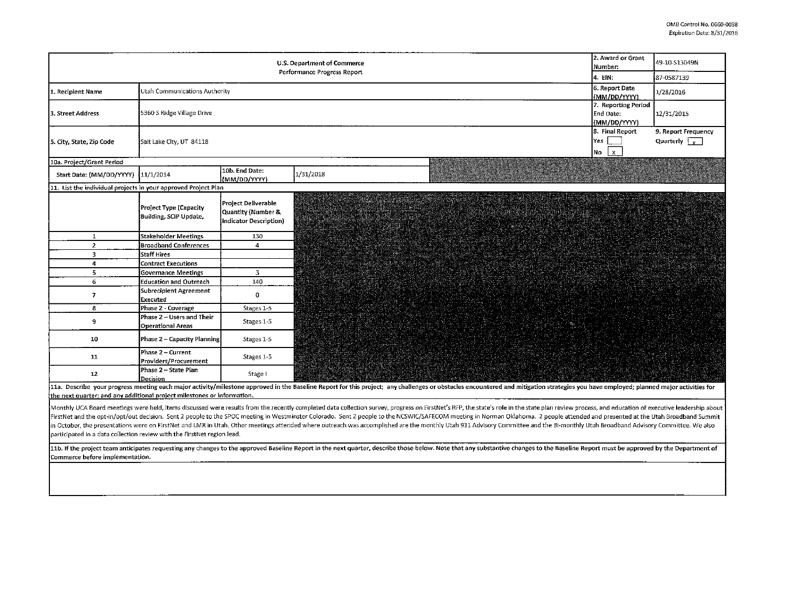| 2. Award or Grant<br>U.S. Department of Commerce<br>Number:<br>Performance Progress Report                                                                                                                                                                                                                                                                                                                                                                                                                                                                                                                                                                                                                                                                                    |                                                       |                                                                     |                                             |  | 49-10-S13049N |  |  |  |
|-------------------------------------------------------------------------------------------------------------------------------------------------------------------------------------------------------------------------------------------------------------------------------------------------------------------------------------------------------------------------------------------------------------------------------------------------------------------------------------------------------------------------------------------------------------------------------------------------------------------------------------------------------------------------------------------------------------------------------------------------------------------------------|-------------------------------------------------------|---------------------------------------------------------------------|---------------------------------------------|--|---------------|--|--|--|
|                                                                                                                                                                                                                                                                                                                                                                                                                                                                                                                                                                                                                                                                                                                                                                               | 4. EIN:                                               | 87-0587139                                                          |                                             |  |               |  |  |  |
| 1. Recipient Name                                                                                                                                                                                                                                                                                                                                                                                                                                                                                                                                                                                                                                                                                                                                                             | Utah Communications Authority                         | 6. Report Date<br>(MM/DD/YYYY)                                      | 1/28/2016                                   |  |               |  |  |  |
| 3. Street Address                                                                                                                                                                                                                                                                                                                                                                                                                                                                                                                                                                                                                                                                                                                                                             | 5360 S Ridge Village Drive                            | 7. Reporting Period<br>End Date:<br>(MM/DD/YYYY)                    | 12/31/2015                                  |  |               |  |  |  |
| 5. City, State, Zip Code                                                                                                                                                                                                                                                                                                                                                                                                                                                                                                                                                                                                                                                                                                                                                      | Sait Lake City, UT 84118                              | 8. Final Report<br>Yes<br>l x.<br>No.                               | 9. Report Frequency<br>Quarterly $\sqrt{v}$ |  |               |  |  |  |
| 10a. Project/Grant Period                                                                                                                                                                                                                                                                                                                                                                                                                                                                                                                                                                                                                                                                                                                                                     |                                                       |                                                                     |                                             |  |               |  |  |  |
| Start Date: (MM/DD/YYYY)                                                                                                                                                                                                                                                                                                                                                                                                                                                                                                                                                                                                                                                                                                                                                      | 11/1/2014                                             | 10b. End Date:<br>(MM/DD/YYYY)                                      | 1/31/2018                                   |  |               |  |  |  |
| 11. List the individual projects in your approved Project Plan                                                                                                                                                                                                                                                                                                                                                                                                                                                                                                                                                                                                                                                                                                                |                                                       |                                                                     |                                             |  |               |  |  |  |
|                                                                                                                                                                                                                                                                                                                                                                                                                                                                                                                                                                                                                                                                                                                                                                               | Project Type (Capacity<br>Building, SCIP Update,      | Project Deliverable<br>Quantity (Number &<br>Indicator Description) | <b>SAN DE LA PERSONAL</b>                   |  |               |  |  |  |
| $\mathbf{1}$                                                                                                                                                                                                                                                                                                                                                                                                                                                                                                                                                                                                                                                                                                                                                                  | <b>Stakeholder Meetings</b>                           | 130                                                                 |                                             |  |               |  |  |  |
| $\overline{2}$                                                                                                                                                                                                                                                                                                                                                                                                                                                                                                                                                                                                                                                                                                                                                                | <b>Broadband Conferences</b>                          | $\overline{4}$                                                      |                                             |  |               |  |  |  |
| 3                                                                                                                                                                                                                                                                                                                                                                                                                                                                                                                                                                                                                                                                                                                                                                             | Staff Hires                                           |                                                                     |                                             |  |               |  |  |  |
| 4                                                                                                                                                                                                                                                                                                                                                                                                                                                                                                                                                                                                                                                                                                                                                                             | <b>Contract Executions</b>                            |                                                                     |                                             |  |               |  |  |  |
| 5                                                                                                                                                                                                                                                                                                                                                                                                                                                                                                                                                                                                                                                                                                                                                                             | <b>Governance Meetings</b>                            | $\overline{3}$                                                      |                                             |  |               |  |  |  |
| 6                                                                                                                                                                                                                                                                                                                                                                                                                                                                                                                                                                                                                                                                                                                                                                             | <b>Education and Outreach</b>                         | 140                                                                 |                                             |  |               |  |  |  |
| $\overline{ }$                                                                                                                                                                                                                                                                                                                                                                                                                                                                                                                                                                                                                                                                                                                                                                | Subrecipient Agreement<br>Executed                    | $\mathbf{0}$                                                        |                                             |  |               |  |  |  |
| 8                                                                                                                                                                                                                                                                                                                                                                                                                                                                                                                                                                                                                                                                                                                                                                             | Phase 2 - Coverage                                    | Stages 1-5                                                          |                                             |  |               |  |  |  |
| 9                                                                                                                                                                                                                                                                                                                                                                                                                                                                                                                                                                                                                                                                                                                                                                             | Phase 2 - Users and Their<br><b>Operational Areas</b> | Stages 1-5                                                          |                                             |  |               |  |  |  |
| 10                                                                                                                                                                                                                                                                                                                                                                                                                                                                                                                                                                                                                                                                                                                                                                            | <b>Phase 2 - Capacity Planning</b>                    | Stages 1-5                                                          |                                             |  |               |  |  |  |
| 11                                                                                                                                                                                                                                                                                                                                                                                                                                                                                                                                                                                                                                                                                                                                                                            | Phase 2 - Current<br>Providers/Procurement            | Stages 1-5                                                          |                                             |  |               |  |  |  |
| 12                                                                                                                                                                                                                                                                                                                                                                                                                                                                                                                                                                                                                                                                                                                                                                            | Phase 2 - State Plan<br>Decision                      | Stage I                                                             |                                             |  |               |  |  |  |
| 11a. Describe your progress meeting each major activity/milestone approved in the Baseline Report for this project; any challenges or obstacles encountered and mitigation strategies you have employed; planned major activit                                                                                                                                                                                                                                                                                                                                                                                                                                                                                                                                                |                                                       |                                                                     |                                             |  |               |  |  |  |
| the next quarter; and any additional project milestones or information.                                                                                                                                                                                                                                                                                                                                                                                                                                                                                                                                                                                                                                                                                                       |                                                       |                                                                     |                                             |  |               |  |  |  |
| Monthly UCA Board meetings were held, items discussed were results from the recently completed data collection survey, progress on FirstNet's RFP, the state's role in the state plan review process, and education of executi<br>FirstNet and the opt-in/opt/out decision. Sent 2 people to the SPOC meeting in Westminster Colorado. Sent 2 people to the NCSWIC/SAFECOM meeting in Norman Oklahoma. 2 people attended and presented at the Utah Broadband Sum<br>in October, the presentations were on FirstNet and LMR in Utah. Other meetings attended where outreach was accomplished are the monthly Utah 911 Advisory Committee and the Bi-monthly Utah Broadband Advisory Committee. We a<br>participated in a data collection review with the FirstNet region lead. |                                                       |                                                                     |                                             |  |               |  |  |  |
|                                                                                                                                                                                                                                                                                                                                                                                                                                                                                                                                                                                                                                                                                                                                                                               |                                                       |                                                                     |                                             |  |               |  |  |  |
| 11b. If the project team anticipates requesting any changes to the approved Baseline Report in the next quarter, describe those below. Note that any substantive changes to the Baseline Report must be approved by the Depart<br>Commerce before implementation.                                                                                                                                                                                                                                                                                                                                                                                                                                                                                                             |                                                       |                                                                     |                                             |  |               |  |  |  |
|                                                                                                                                                                                                                                                                                                                                                                                                                                                                                                                                                                                                                                                                                                                                                                               |                                                       |                                                                     |                                             |  |               |  |  |  |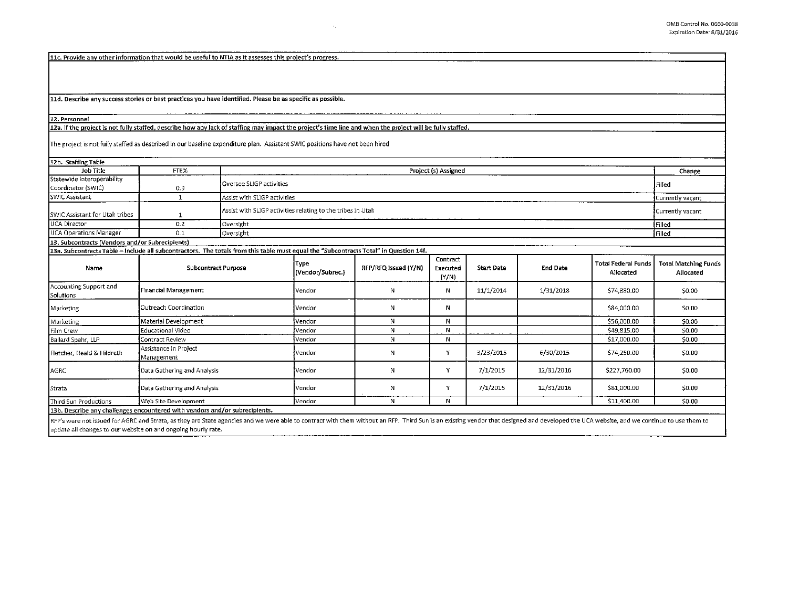11c. Provide any other information that would be useful to NTIA as it assesses this project's progress.

11d. Describe any success stories or best practices you have identified. Please be as specific as possible.

## 12. Personnel

## 12a. If the project is not fully staffed, describe how any lack of staffing may impact the project's time line and when the project will be fully staffed.

 $\mathbf{r}$ 

The project is not fully staffed as described in our baseline expenditure plan. Assistant SWIC positions have not been hired

| 12b. Staffing Table                                                                                                                   |                                     |                                                             |                          |                      |                               |                   |                 |                                         |                                          |
|---------------------------------------------------------------------------------------------------------------------------------------|-------------------------------------|-------------------------------------------------------------|--------------------------|----------------------|-------------------------------|-------------------|-----------------|-----------------------------------------|------------------------------------------|
| Job Title                                                                                                                             | FTE%                                | Project (s) Assigned                                        |                          |                      |                               |                   |                 |                                         | Change                                   |
| Statewide Interoperability<br>Coordinator (SWIC)                                                                                      | 0.9                                 | Oversee SLIGP activities                                    |                          |                      |                               |                   |                 |                                         | Filled                                   |
| SWIC Assistant                                                                                                                        | $\mathbf{1}$                        | Assist with SLIGP activities                                |                          |                      |                               |                   |                 |                                         | Currently vacant                         |
| SWIC Assistant for Utah tribes                                                                                                        |                                     | Assist with SLIGP activities relating to the tribes in Utah |                          |                      |                               |                   |                 |                                         | Currently vacant                         |
| UCA Director                                                                                                                          | 0.2                                 | Oversight                                                   |                          |                      |                               |                   |                 |                                         | Filled                                   |
| <b>UCA Operations Manager</b>                                                                                                         | 0.1                                 | Oversight                                                   |                          |                      |                               |                   |                 |                                         | Filled                                   |
| 13. Subcontracts (Vendors and/or Subrecipients)                                                                                       |                                     |                                                             |                          |                      |                               |                   |                 |                                         |                                          |
| 13a. Subcontracts Table - Include all subcontractors. The totals from this table must equal the "Subcontracts Total" in Question 14f. |                                     |                                                             |                          |                      |                               |                   |                 |                                         |                                          |
| Name                                                                                                                                  | <b>Subcontract Purpose</b>          |                                                             | Type<br>(Vendor/Subrec.) | RFP/RFQ Issued (Y/N) | Contract<br>Executed<br>(Y/N) | <b>Start Date</b> | <b>End Date</b> | <b>Total Federal Funds</b><br>Allocated | <b>Total Matching Funds</b><br>Allocated |
| Accounting Support and<br>Solutions                                                                                                   | Financial Management                |                                                             | Vendor                   | N                    | N                             | 11/1/2014         | 1/31/2018       | \$74,880.00                             | \$0.00                                   |
| Marketing                                                                                                                             | Outreach Coordination               |                                                             | Vendor                   | N                    | Ν                             |                   |                 | \$84,000.00                             | \$0.00                                   |
| Marketing                                                                                                                             | Material Development                |                                                             | Vendor                   | N                    | N                             |                   |                 | \$56,000.00                             | \$0.00                                   |
| Film Crew                                                                                                                             | Educational Video                   |                                                             | Vendor                   | N                    | N                             |                   |                 | \$49,815.00                             | \$0.00                                   |
| Ballard Spahr, LLP                                                                                                                    | Contract Review                     |                                                             | Vendor                   | N                    | Ν                             |                   |                 | \$17,000.00                             | \$0.00                                   |
| Fletcher, Heald & Hildreth                                                                                                            | Assistance in Project<br>Management |                                                             | Vendor                   | N                    | Y                             | 3/23/2015         | 6/30/2015       | \$74,250.00                             | \$0.00                                   |
| AGRC                                                                                                                                  | Data Gathering and Analysis         |                                                             | Vendor                   | N                    | Y                             | 7/1/2015          | 12/31/2016      | \$227,760.00                            | \$0.00                                   |
| Strata                                                                                                                                | Data Gathering and Analysis         |                                                             | Vendor                   | Ν                    | Y                             | 7/1/2015          | 12/31/2016      | \$81,000.00                             | \$0.00                                   |
| <b>Third Sun Productions</b>                                                                                                          | Web Site Development                |                                                             | Vendor                   | N                    | N                             |                   |                 | \$11,400.00                             | \$0.00                                   |
| 13b. Describe any challenges encountered with vendors and/or subrecipients.                                                           |                                     |                                                             |                          |                      |                               |                   |                 |                                         |                                          |

RFP's were not issued for AGRC and Strata, as they are State agencies and we were able to contract with them without an RFP. Third Sun is an existing vendor that designed and developed the UCA website, and we continue to u update all changes to our website on and ongoing hourly rate.